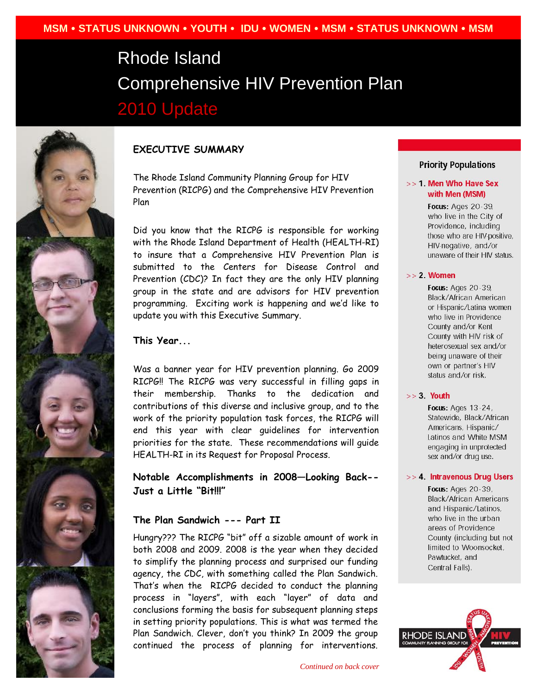# Rhode Island Comprehensive HIV Prevention Plan 2010 Update



# **EXECUTIVE SUMMARY**

The Rhode Island Community Planning Group for HIV Prevention (RICPG) and the Comprehensive HIV Prevention Plan

Did you know that the RICPG is responsible for working with the Rhode Island Department of Health (HEALTH-RI) to insure that a Comprehensive HIV Prevention Plan is submitted to the Centers for Disease Control and Prevention (CDC)? In fact they are the only HIV planning group in the state and are advisors for HIV prevention programming. Exciting work is happening and we'd like to update you with this Executive Summary.

# **This Year...**

Was a banner year for HIV prevention planning. Go 2009 RICPG!! The RICPG was very successful in filling gaps in their membership. Thanks to the dedication and contributions of this diverse and inclusive group, and to the work of the priority population task forces, the RICPG will end this year with clear guidelines for intervention priorities for the state. These recommendations will guide HEALTH-RI in its Request for Proposal Process.

**Notable Accomplishments in 2008—Looking Back-- Just a Little "Bit!!!"** 

## **The Plan Sandwich --- Part II**

Hungry??? The RICPG "bit" off a sizable amount of work in both 2008 and 2009. 2008 is the year when they decided to simplify the planning process and surprised our funding agency, the CDC, with something called the Plan Sandwich. That's when the RICPG decided to conduct the planning process in "layers", with each "layer" of data and conclusions forming the basis for subsequent planning steps in setting priority populations. This is what was termed the Plan Sandwich. Clever, don't you think? In 2009 the group continued the process of planning for interventions.

# **Priority Populations**

#### >> 1 Men Who Have Sex with Men (MSM)

Focus: Ages 20-39, who live in the City of Providence, including those who are HIV-positive, HIV-negative, and/or unaware of their HIV status.

#### $>> 2$ . Women

Focus: Ages 20-39, Black/African American or Hispanic/Latina women who live in Providence County and/or Kent County with HIV risk of heterosexual sex and/or being unaware of their own or partner's HIV status and/or risk.

#### $>> 3.$  Youth

Focus: Ages 13-24, Statewide, Black/African Americans, Hispanic/ Latinos and White MSM engaging in unprotected sex and/or drug use.

#### >> 4. Intravenous Drug Users

Focus: Ages 20-39, **Black/African Americans** and Hispanic/Latinos, who live in the urban areas of Providence County (including but not limited to Woonsocket, Pawtucket, and Central Falls).

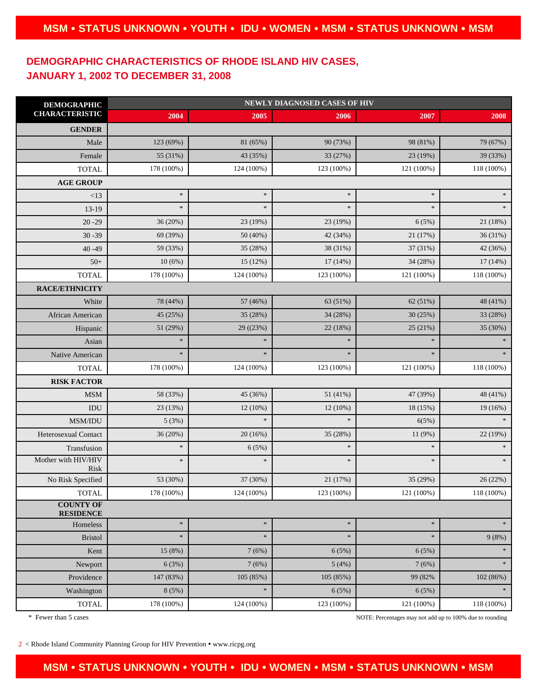# **DEMOGRAPHIC CHARACTERISTICS OF RHODE ISLAND HIV CASES, JANUARY 1, 2002 TO DECEMBER 31, 2008**

| <b>DEMOGRAPHIC</b><br><b>CHARACTERISTIC</b> | <b>NEWLY DIAGNOSED CASES OF HIV</b> |            |            |            |               |
|---------------------------------------------|-------------------------------------|------------|------------|------------|---------------|
|                                             | 2004                                | 2005       | 2006       | 2007       | 2008          |
| <b>GENDER</b>                               |                                     |            |            |            |               |
| Male                                        | 123 (69%)                           | 81 (65%)   | 90 (73%)   | 98 (81%)   | 79 (67%)      |
| Female                                      | 55 (31%)                            | 43 (35%)   | 33 (27%)   | 23 (19%)   | 39 (33%)      |
| <b>TOTAL</b>                                | 178 (100%)                          | 124 (100%) | 123 (100%) | 121 (100%) | 118 (100%)    |
| <b>AGE GROUP</b>                            |                                     |            |            |            |               |
| <13                                         | $\ast$                              | $\ast$     | $\ast$     | $\approx$  | $\ast$        |
| $13-19$                                     | $\ast$                              | $\ast$     | $\ast$     | $\approx$  | $\ast$        |
| $20 - 29$                                   | 36(20%)                             | 23 (19%)   | 23 (19%)   | 6(5%)      | 21 (18%)      |
| $30 - 39$                                   | 69 (39%)                            | 50 (40%)   | 42 (34%)   | 21 (17%)   | 36 (31%)      |
| $40 - 49$                                   | 59 (33%)                            | 35 (28%)   | 38 (31%)   | 37 (31%)   | 42 (36%)      |
| $50+$                                       | 10(6%)                              | 15 (12%)   | 17 (14%)   | 34 (28%)   | 17(14%)       |
| <b>TOTAL</b>                                | 178 (100%)                          | 124 (100%) | 123 (100%) | 121 (100%) | 118 (100%)    |
| RACE/ETHNICITY                              |                                     |            |            |            |               |
| White                                       | 78 (44%)                            | 57 (46%)   | 63 (51%)   | 62 (51%)   | 48 (41%)      |
| African American                            | 45 (25%)                            | 35 (28%)   | 34 (28%)   | 30(25%)    | 33 (28%)      |
| Hispanic                                    | 51 (29%)                            | 29( (23%)  | 22 (18%)   | 25(21%)    | 35 (30%)      |
| Asian                                       | $\ast$                              | $\ast$     | $\ast$     | $\ast$     | $\ast$        |
| Native American                             | $\ast$                              | $\ast$     | $\ast$     | $\ast$     | $\ast$        |
| <b>TOTAL</b>                                | 178 (100%)                          | 124 (100%) | 123 (100%) | 121 (100%) | 118 (100%)    |
| <b>RISK FACTOR</b>                          |                                     |            |            |            |               |
| $\operatorname{MSM}$                        | 58 (33%)                            | 45 (36%)   | 51 (41%)   | 47 (39%)   | 48 (41%)      |
| IDU                                         | 23 (13%)                            | 12(10%)    | 12 (10%)   | 18 (15%)   | 19 (16%)      |
| MSM/IDU                                     | 5(3%)                               | $\ast$     | $\ast$     | 6(5%)      | $\ast$        |
| Heterosexual Contact                        | 36 (20%)                            | 20(16%)    | 35 (28%)   | 11 (9%)    | 22 (19%)      |
| Transfusion                                 | $\ast$                              | 6(5%)      | $\ast$     | $\ast$     | $\frac{1}{2}$ |
| Mother with HIV/HIV<br>Risk                 | $\ast$                              | $\ast$     | $\ast$     | $\ast$     | $\ast$        |
| No Risk Specified                           | 53 (30%)                            | 37 (30%)   | 21 (17%)   | 35 (29%)   | 26 (22%)      |
| <b>TOTAL</b>                                | 178 (100%)                          | 124 (100%) | 123 (100%) | 121 (100%) | 118 (100%)    |
| <b>COUNTY OF</b><br><b>RESIDENCE</b>        |                                     |            |            |            |               |
| Homeless                                    | $\ast$                              | $\ast$     | $\ast$     | $\ast$     | $\ast$        |
| <b>Bristol</b>                              | $\ast$                              | $\ast$     | $\ast$     | $\approx$  | 9(8%)         |
| Kent                                        | 15 (8%)                             | 7(6%)      | 6(5%)      | 6(5%)      | $\ast$        |
| Newport                                     | 6(3%)                               | 7(6%)      | 5(4%)      | 7(6%)      | $\ast$        |
| Providence                                  | 147 (83%)                           | 105 (85%)  | 105 (85%)  | 99 (82%    | 102 (86%)     |
| Washington                                  | 8(5%)                               | $\ast$     | 6(5%)      | 6(5%)      | *             |
| <b>TOTAL</b>                                | 178 (100%)                          | 124 (100%) | 123 (100%) | 121 (100%) | 118 (100%)    |

\* Fewer than 5 cases NOTE: Percentages may not add up to 100% due to rounding

 $2 <$ Rhode Island Community Planning Group for HIV Prevention • www.ricpg.org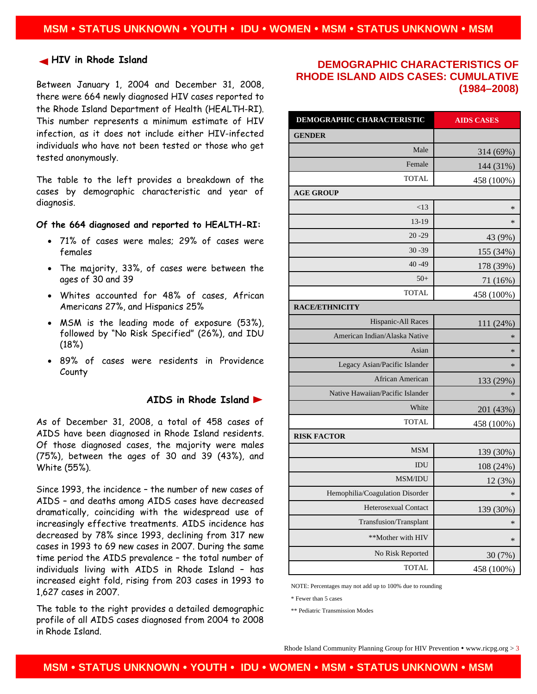#### **HIV in Rhode Island**

Between January 1, 2004 and December 31, 2008, there were 664 newly diagnosed HIV cases reported to the Rhode Island Department of Health (HEALTH-RI). This number represents a minimum estimate of HIV infection, as it does not include either HIV-infected individuals who have not been tested or those who get tested anonymously.

The table to the left provides a breakdown of the cases by demographic characteristic and year of diagnosis.

#### **Of the 664 diagnosed and reported to HEALTH-RI:**

- 71% of cases were males; 29% of cases were females
- The majority, 33%, of cases were between the ages of 30 and 39
- Whites accounted for 48% of cases, African Americans 27%, and Hispanics 25%
- MSM is the leading mode of exposure (53%), followed by "No Risk Specified" (26%), and IDU (18%)
- 89% of cases were residents in Providence County

### **AIDS in Rhode Island**

As of December 31, 2008, a total of 458 cases of AIDS have been diagnosed in Rhode Island residents. Of those diagnosed cases, the majority were males (75%), between the ages of 30 and 39 (43%), and White (55%).

Since 1993, the incidence – the number of new cases of AIDS – and deaths among AIDS cases have decreased dramatically, coinciding with the widespread use of increasingly effective treatments. AIDS incidence has decreased by 78% since 1993, declining from 317 new cases in 1993 to 69 new cases in 2007. During the same time period the AIDS prevalence – the total number of individuals living with AIDS in Rhode Island – has increased eight fold, rising from 203 cases in 1993 to 1,627 cases in 2007.

The table to the right provides a detailed demographic profile of all AIDS cases diagnosed from 2004 to 2008 in Rhode Island.

# **DEMOGRAPHIC CHARACTERISTICS OF RHODE ISLAND AIDS CASES: CUMULATIVE (1984–2008)**

| <b>DEMOGRAPHIC CHARACTERISTIC</b> | <b>AIDS CASES</b> |  |  |  |  |
|-----------------------------------|-------------------|--|--|--|--|
| <b>GENDER</b>                     |                   |  |  |  |  |
| Male                              | 314 (69%)         |  |  |  |  |
| Female                            | 144 (31%)         |  |  |  |  |
| <b>TOTAL</b>                      | 458 (100%)        |  |  |  |  |
| <b>AGE GROUP</b>                  |                   |  |  |  |  |
| < 13                              | $\ast$            |  |  |  |  |
| $13-19$                           | *                 |  |  |  |  |
| $20 - 29$                         | 43 (9%)           |  |  |  |  |
| $30 - 39$                         | 155 (34%)         |  |  |  |  |
| $40 - 49$                         | 178 (39%)         |  |  |  |  |
| $50+$                             | 71 (16%)          |  |  |  |  |
| <b>TOTAL</b>                      | 458 (100%)        |  |  |  |  |
| <b>RACE/ETHNICITY</b>             |                   |  |  |  |  |
| Hispanic-All Races                | 111 (24%)         |  |  |  |  |
| American Indian/Alaska Native     | $\ast$            |  |  |  |  |
| Asian                             | $\ast$            |  |  |  |  |
| Legacy Asian/Pacific Islander     | $\ast$            |  |  |  |  |
| <b>African American</b>           | 133 (29%)         |  |  |  |  |
| Native Hawaiian/Pacific Islander  | $\ast$            |  |  |  |  |
| White                             | 201 (43%)         |  |  |  |  |
| <b>TOTAL</b>                      | 458 (100%)        |  |  |  |  |
| <b>RISK FACTOR</b>                |                   |  |  |  |  |
| <b>MSM</b>                        | 139 (30%)         |  |  |  |  |
| IDU                               | 108 (24%)         |  |  |  |  |
| MSM/IDU                           | 12 (3%)           |  |  |  |  |
| Hemophilia/Coagulation Disorder   | *                 |  |  |  |  |
| Heterosexual Contact              | 139 (30%)         |  |  |  |  |
| Transfusion/Transplant            | *                 |  |  |  |  |
| **Mother with HIV                 | $\ast$            |  |  |  |  |
| No Risk Reported                  | 30 (7%)           |  |  |  |  |
| <b>TOTAL</b>                      | 458 (100%)        |  |  |  |  |

NOTE: Percentages may not add up to 100% due to rounding

\* Fewer than 5 cases

\*\* Pediatric Transmission Modes

Rhode Island Community Planning Group for HIV Prevention • www.ricpg.org  $> 3$